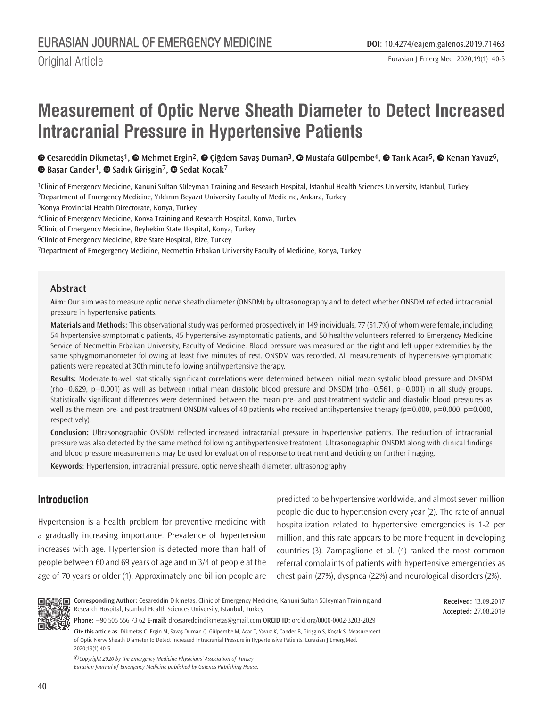# **Measurement of Optic Nerve Sheath Diameter to Detect Increased Intracranial Pressure in Hypertensive Patients**

**Cesareddin Dikmetaş1,Mehmet Ergin2,Çiğdem Savaş Duman3,Mustafa Gülpembe4,Tarık Acar5,Kenan Yavuz6, Başar Cander1,Sadık Girişgin7,Sedat Koçak7**

1Clinic of Emergency Medicine, Kanuni Sultan Süleyman Training and Research Hospital, İstanbul Health Sciences University, İstanbul, Turkey 2Department of Emergency Medicine, Yıldırım Beyazıt University Faculty of Medicine, Ankara, Turkey

3Konya Provincial Health Directorate, Konya, Turkey

4Clinic of Emergency Medicine, Konya Training and Research Hospital, Konya, Turkey

5Clinic of Emergency Medicine, Beyhekim State Hospital, Konya, Turkey

6Clinic of Emergency Medicine, Rize State Hospital, Rize, Turkey

7Department of Emegergency Medicine, Necmettin Erbakan University Faculty of Medicine, Konya, Turkey

### **Abstract**

**Aim:** Our aim was to measure optic nerve sheath diameter (ONSDM) by ultrasonography and to detect whether ONSDM reflected intracranial pressure in hypertensive patients.

**Materials and Methods:** This observational study was performed prospectively in 149 individuals, 77 (51.7%) of whom were female, including 54 hypertensive-symptomatic patients, 45 hypertensive-asymptomatic patients, and 50 healthy volunteers referred to Emergency Medicine Service of Necmettin Erbakan University, Faculty of Medicine. Blood pressure was measured on the right and left upper extremities by the same sphygmomanometer following at least five minutes of rest. ONSDM was recorded. All measurements of hypertensive-symptomatic patients were repeated at 30th minute following antihypertensive therapy.

**Results:** Moderate-to-well statistically significant correlations were determined between initial mean systolic blood pressure and ONSDM  $(rho=0.629, p=0.001)$  as well as between initial mean diastolic blood pressure and ONSDM  $(rho=0.561, p=0.001)$  in all study groups. Statistically significant differences were determined between the mean pre- and post-treatment systolic and diastolic blood pressures as well as the mean pre- and post-treatment ONSDM values of 40 patients who received antihypertensive therapy ( $p=0.000$ ,  $p=0.000$ ,  $p=0.000$ ,  $p=0.000$ , respectively).

**Conclusion:** Ultrasonographic ONSDM reflected increased intracranial pressure in hypertensive patients. The reduction of intracranial pressure was also detected by the same method following antihypertensive treatment. Ultrasonographic ONSDM along with clinical findings and blood pressure measurements may be used for evaluation of response to treatment and deciding on further imaging.

**Keywords:** Hypertension, intracranial pressure, optic nerve sheath diameter, ultrasonography

## **Introduction**

Hypertension is a health problem for preventive medicine with a gradually increasing importance. Prevalence of hypertension increases with age. Hypertension is detected more than half of people between 60 and 69 years of age and in 3/4 of people at the age of 70 years or older (1). Approximately one billion people are predicted to be hypertensive worldwide, and almost seven million people die due to hypertension every year (2). The rate of annual hospitalization related to hypertensive emergencies is 1-2 per million, and this rate appears to be more frequent in developing countries (3). Zampaglione et al. (4) ranked the most common referral complaints of patients with hypertensive emergencies as chest pain (27%), dyspnea (22%) and neurological disorders (2%).



2020;19(1):40-5.

**Corresponding Author:** Cesareddin Dikmetaş, Clinic of Emergency Medicine, Kanuni Sultan Süleyman Training and Research Hospital, İstanbul Health Sciences University, İstanbul, Turkey

**Received:** 13.09.2017 **Accepted:** 27.08.2019

**Cite this article as:** Dikmetaş C, Ergin M, Savaş Duman Ç, Gülpembe M, Acar T, Yavuz K, Cander B, Girişgin S, Koçak S. Measurement of Optic Nerve Sheath Diameter to Detect Increased Intracranial Pressure in Hypertensive Patients. Eurasian J Emerg Med. **Phone:** +90 505 556 73 62 **E-mail:** drcesareddindikmetas@gmail.com O**RCID ID:** orcid.org/0000-0002-3203-2029

*©Copyright 2020 by the Emergency Medicine Physicians' Association of Turkey Eurasian Journal of Emergency Medicine published by Galenos Publishing House.*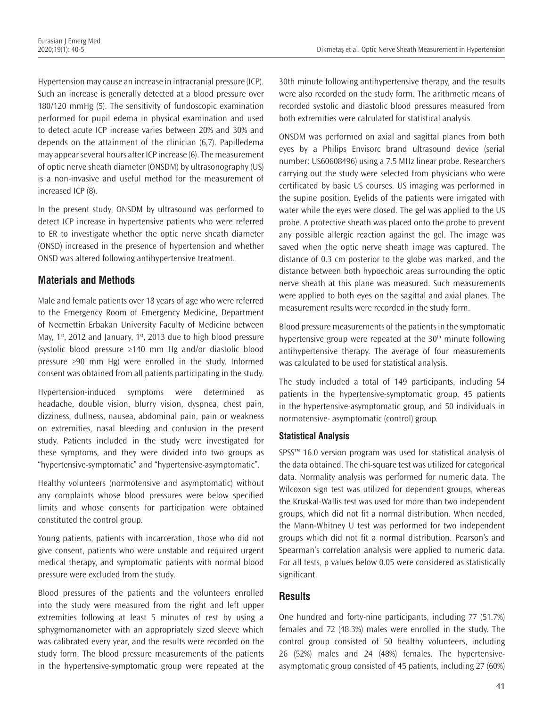Hypertension may cause an increase in intracranial pressure (ICP). Such an increase is generally detected at a blood pressure over 180/120 mmHg (5). The sensitivity of fundoscopic examination performed for pupil edema in physical examination and used to detect acute ICP increase varies between 20% and 30% and depends on the attainment of the clinician (6,7). Papilledema may appear several hours after ICP increase (6). The measurement of optic nerve sheath diameter (ONSDM) by ultrasonography (US) is a non-invasive and useful method for the measurement of increased ICP (8).

In the present study, ONSDM by ultrasound was performed to detect ICP increase in hypertensive patients who were referred to ER to investigate whether the optic nerve sheath diameter (ONSD) increased in the presence of hypertension and whether ONSD was altered following antihypertensive treatment.

# **Materials and Methods**

Male and female patients over 18 years of age who were referred to the Emergency Room of Emergency Medicine, Department of Necmettin Erbakan University Faculty of Medicine between May,  $1<sup>st</sup>$ , 2012 and January,  $1<sup>st</sup>$ , 2013 due to high blood pressure (systolic blood pressure ≥140 mm Hg and/or diastolic blood pressure ≥90 mm Hg) were enrolled in the study. Informed consent was obtained from all patients participating in the study.

Hypertension-induced symptoms were determined as headache, double vision, blurry vision, dyspnea, chest pain, dizziness, dullness, nausea, abdominal pain, pain or weakness on extremities, nasal bleeding and confusion in the present study. Patients included in the study were investigated for these symptoms, and they were divided into two groups as "hypertensive-symptomatic" and "hypertensive-asymptomatic".

Healthy volunteers (normotensive and asymptomatic) without any complaints whose blood pressures were below specified limits and whose consents for participation were obtained constituted the control group.

Young patients, patients with incarceration, those who did not give consent, patients who were unstable and required urgent medical therapy, and symptomatic patients with normal blood pressure were excluded from the study.

Blood pressures of the patients and the volunteers enrolled into the study were measured from the right and left upper extremities following at least 5 minutes of rest by using a sphygmomanometer with an appropriately sized sleeve which was calibrated every year, and the results were recorded on the study form. The blood pressure measurements of the patients in the hypertensive-symptomatic group were repeated at the 30th minute following antihypertensive therapy, and the results were also recorded on the study form. The arithmetic means of recorded systolic and diastolic blood pressures measured from both extremities were calculated for statistical analysis.

ONSDM was performed on axial and sagittal planes from both eyes by a Philips Envisorc brand ultrasound device (serial number: US60608496) using a 7.5 MHz linear probe. Researchers carrying out the study were selected from physicians who were certificated by basic US courses. US imaging was performed in the supine position. Eyelids of the patients were irrigated with water while the eyes were closed. The gel was applied to the US probe. A protective sheath was placed onto the probe to prevent any possible allergic reaction against the gel. The image was saved when the optic nerve sheath image was captured. The distance of 0.3 cm posterior to the globe was marked, and the distance between both hypoechoic areas surrounding the optic nerve sheath at this plane was measured. Such measurements were applied to both eyes on the sagittal and axial planes. The measurement results were recorded in the study form.

Blood pressure measurements of the patients in the symptomatic hypertensive group were repeated at the  $30<sup>th</sup>$  minute following antihypertensive therapy. The average of four measurements was calculated to be used for statistical analysis.

The study included a total of 149 participants, including 54 patients in the hypertensive-symptomatic group, 45 patients in the hypertensive-asymptomatic group, and 50 individuals in normotensive- asymptomatic (control) group.

## **Statistical Analysis**

SPSS™ 16.0 version program was used for statistical analysis of the data obtained. The chi-square test was utilized for categorical data. Normality analysis was performed for numeric data. The Wilcoxon sign test was utilized for dependent groups, whereas the Kruskal-Wallis test was used for more than two independent groups, which did not fit a normal distribution. When needed, the Mann-Whitney U test was performed for two independent groups which did not fit a normal distribution. Pearson's and Spearman's correlation analysis were applied to numeric data. For all tests, p values below 0.05 were considered as statistically significant.

## **Results**

One hundred and forty-nine participants, including 77 (51.7%) females and 72 (48.3%) males were enrolled in the study. The control group consisted of 50 healthy volunteers, including 26 (52%) males and 24 (48%) females. The hypertensiveasymptomatic group consisted of 45 patients, including 27 (60%)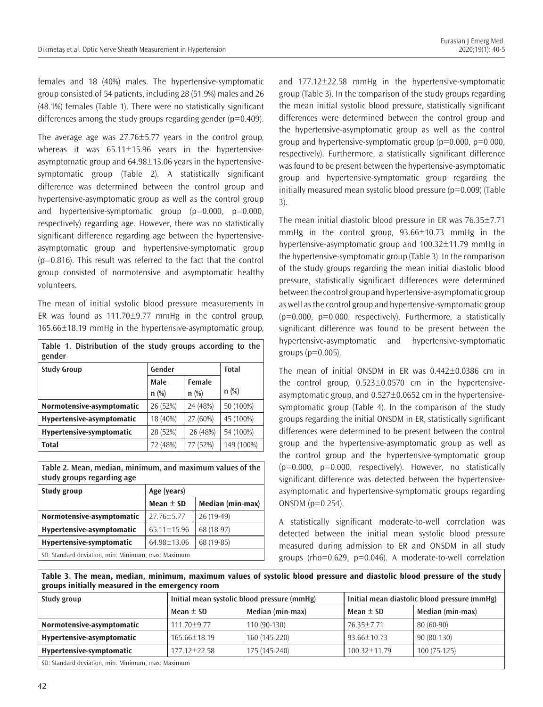females and 18 (40%) males. The hypertensive-symptomatic group consisted of 54 patients, including 28 (51.9%) males and 26 (48.1%) females (Table 1). There were no statistically significant differences among the study groups regarding gender ( $p=0.409$ ).

The average age was  $27.76 \pm 5.77$  years in the control group, whereas it was 65.11±15.96 years in the hypertensiveasymptomatic group and  $64.98 \pm 13.06$  years in the hypertensivesymptomatic group (Table 2). A statistically significant difference was determined between the control group and hypertensive-asymptomatic group as well as the control group and hypertensive-symptomatic group  $(p=0.000, p=0.000, p=0.000)$ respectively) regarding age. However, there was no statistically significant difference regarding age between the hypertensiveasymptomatic group and hypertensive-symptomatic group (p=0.816). This result was referred to the fact that the control group consisted of normotensive and asymptomatic healthy volunteers.

The mean of initial systolic blood pressure measurements in ER was found as  $111.70 \pm 9.77$  mmHg in the control group, 165.66±18.19 mmHg in the hypertensive-asymptomatic group,

| Table 1. Distribution of the study groups according to the<br>gender |          |          |              |
|----------------------------------------------------------------------|----------|----------|--------------|
| <b>Study Group</b>                                                   | Gender   |          | <b>Total</b> |
|                                                                      | Male     | Female   |              |
|                                                                      | n(%)     | $n$ (%)  | $n$ (%)      |
| Normotensive-asymptomatic                                            | 26 (52%) | 24 (48%) | 50 (100%)    |
| Hypertensive-asymptomatic                                            | 18 (40%) | 27 (60%) | 45 (100%)    |
| Hypertensive-symptomatic                                             | 28 (52%) | 26 (48%) | 54 (100%)    |
| <b>Total</b>                                                         | 72 (48%) | 77 (52%) | 149 (100%)   |

**Table 2. Mean, median, minimum, and maximum values of the study groups regarding age**

| <b>Study group</b>                                 | Age (years)       |                  |  |
|----------------------------------------------------|-------------------|------------------|--|
|                                                    | Mean $\pm$ SD     | Median (min-max) |  |
| Normotensive-asymptomatic                          | $27.76 + 5.77$    | $26(19-49)$      |  |
| Hypertensive-asymptomatic                          | $65.11 \pm 15.96$ | 68 (18-97)       |  |
| Hypertensive-symptomatic                           | 64.98±13.06       | 68 (19-85)       |  |
| SD: Standard deviation, min: Minimum, max: Maximum |                   |                  |  |

and 177.12±22.58 mmHg in the hypertensive-symptomatic group (Table 3). In the comparison of the study groups regarding the mean initial systolic blood pressure, statistically significant differences were determined between the control group and the hypertensive-asymptomatic group as well as the control group and hypertensive-symptomatic group  $(p=0.000, p=0.000, p=0.000)$ respectively). Furthermore, a statistically significant difference was found to be present between the hypertensive-asymptomatic group and hypertensive-symptomatic group regarding the initially measured mean systolic blood pressure  $(p=0.009)$  (Table 3).

The mean initial diastolic blood pressure in ER was 76.35±7.71 mmHg in the control group, 93.66±10.73 mmHg in the hypertensive-asymptomatic group and 100.32±11.79 mmHg in the hypertensive-symptomatic group (Table 3). In the comparison of the study groups regarding the mean initial diastolic blood pressure, statistically significant differences were determined between the control group and hypertensive-asymptomatic group as well as the control group and hypertensive-symptomatic group  $(p=0.000, p=0.000, respectively)$ . Furthermore, a statistically significant difference was found to be present between the hypertensive-asymptomatic and hypertensive-symptomatic groups  $(p=0.005)$ .

The mean of initial ONSDM in ER was 0.442±0.0386 cm in the control group, 0.523±0.0570 cm in the hypertensiveasymptomatic group, and 0.527±0.0652 cm in the hypertensivesymptomatic group (Table 4). In the comparison of the study groups regarding the initial ONSDM in ER, statistically significant differences were determined to be present between the control group and the hypertensive-asymptomatic group as well as the control group and the hypertensive-symptomatic group  $(p=0.000, p=0.000, respectively)$ . However, no statistically significant difference was detected between the hypertensiveasymptomatic and hypertensive-symptomatic groups regarding ONSDM  $(p=0.254)$ .

A statistically significant moderate-to-well correlation was detected between the initial mean systolic blood pressure measured during admission to ER and ONSDM in all study groups (rho=0.629, p=0.046). A moderate-to-well correlation

**Table 3. The mean, median, minimum, maximum values of systolic blood pressure and diastolic blood pressure of the study groups initially measured in the emergency room**

| Study group                                        | Initial mean systolic blood pressure (mmHg) |                  | Initial mean diastolic blood pressure (mmHg) |                  |
|----------------------------------------------------|---------------------------------------------|------------------|----------------------------------------------|------------------|
|                                                    | Mean $\pm$ SD                               | Median (min-max) | Mean $\pm$ SD                                | Median (min-max) |
| Normotensive-asymptomatic                          | $111.70 \pm 9.77$                           | $110(90-130)$    | 76.35+7.71                                   | $80(60-90)$      |
| Hypertensive-asymptomatic                          | $165.66 \pm 18.19$                          | 160 (145-220)    | $93.66 \pm 10.73$                            | $90(80-130)$     |
| Hypertensive-symptomatic                           | $177.12 \pm 22.58$                          | 175 (145-240)    | $100.32 \pm 11.79$                           | 100 (75-125)     |
| SD: Standard deviation, min: Minimum, max: Maximum |                                             |                  |                                              |                  |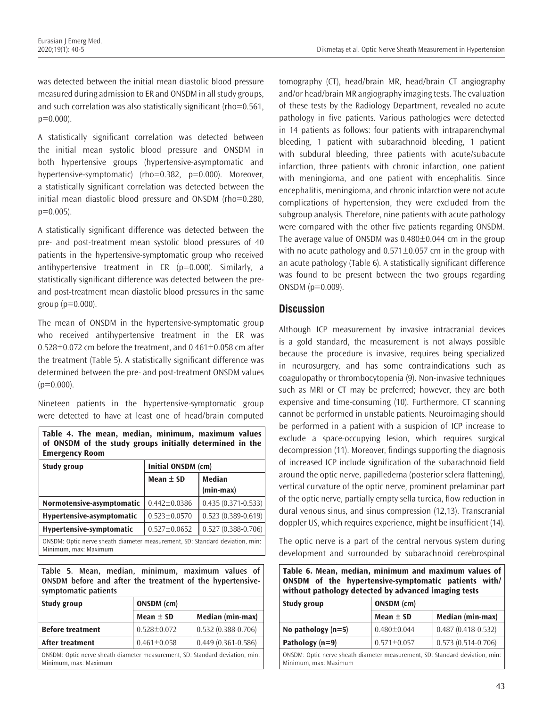was detected between the initial mean diastolic blood pressure measured during admission to ER and ONSDM in all study groups, and such correlation was also statistically significant (rho=0.561,  $p=0.000$ ).

A statistically significant correlation was detected between the initial mean systolic blood pressure and ONSDM in both hypertensive groups (hypertensive-asymptomatic and hypertensive-symptomatic) (rho=0.382, p=0.000). Moreover, a statistically significant correlation was detected between the initial mean diastolic blood pressure and ONSDM (rho=0.280,  $p=0.005$ ).

A statistically significant difference was detected between the pre- and post-treatment mean systolic blood pressures of 40 patients in the hypertensive-symptomatic group who received antihypertensive treatment in ER  $(p=0.000)$ . Similarly, a statistically significant difference was detected between the preand post-treatment mean diastolic blood pressures in the same group  $(p=0.000)$ .

The mean of ONSDM in the hypertensive-symptomatic group who received antihypertensive treatment in the ER was  $0.528\pm0.072$  cm before the treatment, and  $0.461\pm0.058$  cm after the treatment (Table 5). A statistically significant difference was determined between the pre- and post-treatment ONSDM values  $(p=0.000)$ .

Nineteen patients in the hypertensive-symptomatic group were detected to have at least one of head/brain computed

**Table 4. The mean, median, minimum, maximum values of ONSDM of the study groups initially determined in the Emergency Room**

| Study group                                                                                           | Initial ONSDM (cm) |                        |  |
|-------------------------------------------------------------------------------------------------------|--------------------|------------------------|--|
|                                                                                                       | Mean $\pm$ SD      | <b>Median</b>          |  |
|                                                                                                       |                    | $(min-max)$            |  |
| Normotensive-asymptomatic                                                                             | $0.442 \pm 0.0386$ | $0.435(0.371 - 0.533)$ |  |
| Hypertensive-asymptomatic                                                                             | $0.523 \pm 0.0570$ | $0.523(0.389 - 0.619)$ |  |
| Hypertensive-symptomatic                                                                              | $0.527 \pm 0.0652$ | $0.527(0.388 - 0.706)$ |  |
| ONSDM: Optic nerve sheath diameter measurement, SD: Standard deviation, min:<br>Minimum, max: Maximum |                    |                        |  |

**Table 5. Mean, median, minimum, maximum values of ONSDM before and after the treatment of the hypertensivesymptomatic patients**

| Study group                                                                                           | ONSDM (cm)        |                        |  |
|-------------------------------------------------------------------------------------------------------|-------------------|------------------------|--|
|                                                                                                       | Mean $\pm$ SD     | Median (min-max)       |  |
| <b>Before treatment</b>                                                                               | $0.528 \pm 0.072$ | $0.532(0.388 - 0.706)$ |  |
| After treatment                                                                                       | $0.461 \pm 0.058$ | $0.449(0.361 - 0.586)$ |  |
| ONSDM: Optic nerve sheath diameter measurement, SD: Standard deviation, min:<br>Minimum, max: Maximum |                   |                        |  |

tomography (CT), head/brain MR, head/brain CT angiography and/or head/brain MR angiography imaging tests. The evaluation of these tests by the Radiology Department, revealed no acute pathology in five patients. Various pathologies were detected in 14 patients as follows: four patients with intraparenchymal bleeding, 1 patient with subarachnoid bleeding, 1 patient with subdural bleeding, three patients with acute/subacute infarction, three patients with chronic infarction, one patient with meningioma, and one patient with encephalitis. Since encephalitis, meningioma, and chronic infarction were not acute complications of hypertension, they were excluded from the subgroup analysis. Therefore, nine patients with acute pathology were compared with the other five patients regarding ONSDM. The average value of ONSDM was 0.480±0.044 cm in the group with no acute pathology and  $0.571\pm0.057$  cm in the group with an acute pathology (Table 6). A statistically significant difference was found to be present between the two groups regarding  $ONSDM (p=0.009)$ .

## **Discussion**

Although ICP measurement by invasive intracranial devices is a gold standard, the measurement is not always possible because the procedure is invasive, requires being specialized in neurosurgery, and has some contraindications such as coagulopathy or thrombocytopenia (9). Non-invasive techniques such as MRI or CT may be preferred; however, they are both expensive and time-consuming (10). Furthermore, CT scanning cannot be performed in unstable patients. Neuroimaging should be performed in a patient with a suspicion of ICP increase to exclude a space-occupying lesion, which requires surgical decompression (11). Moreover, findings supporting the diagnosis of increased ICP include signification of the subarachnoid field around the optic nerve, papilledema (posterior sclera flattening), vertical curvature of the optic nerve, prominent prelaminar part of the optic nerve, partially empty sella turcica, flow reduction in dural venous sinus, and sinus compression (12,13). Transcranial doppler US, which requires experience, might be insufficient (14).

The optic nerve is a part of the central nervous system during development and surrounded by subarachnoid cerebrospinal

| Table 6. Mean, median, minimum and maximum values of |  |  |  |
|------------------------------------------------------|--|--|--|
| ONSDM of the hypertensive-symptomatic patients with/ |  |  |  |
| without pathology detected by advanced imaging tests |  |  |  |
|                                                      |  |  |  |

| <b>Study group</b>                                                                                    | ONSDM (cm)        |                      |  |
|-------------------------------------------------------------------------------------------------------|-------------------|----------------------|--|
|                                                                                                       | Mean $\pm$ SD     | Median (min-max)     |  |
| No pathology $(n=5)$                                                                                  | $0.480 \pm 0.044$ | $0.487(0.418-0.532)$ |  |
| Pathology (n=9)                                                                                       | $0.571 \pm 0.057$ | $0.573(0.514-0.706)$ |  |
| ONSDM: Optic nerve sheath diameter measurement, SD: Standard deviation, min:<br>Minimum, max: Maximum |                   |                      |  |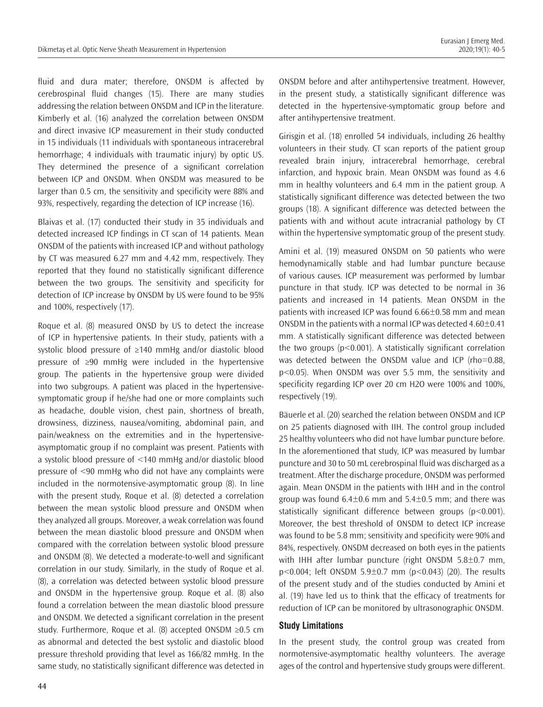fluid and dura mater; therefore, ONSDM is affected by cerebrospinal fluid changes (15). There are many studies addressing the relation between ONSDM and ICP in the literature. Kimberly et al. (16) analyzed the correlation between ONSDM and direct invasive ICP measurement in their study conducted in 15 individuals (11 individuals with spontaneous intracerebral hemorrhage; 4 individuals with traumatic injury) by optic US. They determined the presence of a significant correlation between ICP and ONSDM. When ONSDM was measured to be larger than 0.5 cm, the sensitivity and specificity were 88% and 93%, respectively, regarding the detection of ICP increase (16).

Blaivas et al. (17) conducted their study in 35 individuals and detected increased ICP findings in CT scan of 14 patients. Mean ONSDM of the patients with increased ICP and without pathology by CT was measured 6.27 mm and 4.42 mm, respectively. They reported that they found no statistically significant difference between the two groups. The sensitivity and specificity for detection of ICP increase by ONSDM by US were found to be 95% and 100%, respectively (17).

Roque et al. (8) measured ONSD by US to detect the increase of ICP in hypertensive patients. In their study, patients with a systolic blood pressure of ≥140 mmHg and/or diastolic blood pressure of ≥90 mmHg were included in the hypertensive group. The patients in the hypertensive group were divided into two subgroups. A patient was placed in the hypertensivesymptomatic group if he/she had one or more complaints such as headache, double vision, chest pain, shortness of breath, drowsiness, dizziness, nausea/vomiting, abdominal pain, and pain/weakness on the extremities and in the hypertensiveasymptomatic group if no complaint was present. Patients with a systolic blood pressure of <140 mmHg and/or diastolic blood pressure of <90 mmHg who did not have any complaints were included in the normotensive-asymptomatic group (8). In line with the present study, Roque et al. (8) detected a correlation between the mean systolic blood pressure and ONSDM when they analyzed all groups. Moreover, a weak correlation was found between the mean diastolic blood pressure and ONSDM when compared with the correlation between systolic blood pressure and ONSDM (8). We detected a moderate-to-well and significant correlation in our study. Similarly, in the study of Roque et al. (8), a correlation was detected between systolic blood pressure and ONSDM in the hypertensive group. Roque et al. (8) also found a correlation between the mean diastolic blood pressure and ONSDM. We detected a significant correlation in the present study. Furthermore, Roque et al. (8) accepted ONSDM ≥0.5 cm as abnormal and detected the best systolic and diastolic blood pressure threshold providing that level as 166/82 mmHg. In the same study, no statistically significant difference was detected in

ONSDM before and after antihypertensive treatment. However, in the present study, a statistically significant difference was detected in the hypertensive-symptomatic group before and after antihypertensive treatment.

Girisgin et al. (18) enrolled 54 individuals, including 26 healthy volunteers in their study. CT scan reports of the patient group revealed brain injury, intracerebral hemorrhage, cerebral infarction, and hypoxic brain. Mean ONSDM was found as 4.6 mm in healthy volunteers and 6.4 mm in the patient group. A statistically significant difference was detected between the two groups (18). A significant difference was detected between the patients with and without acute intracranial pathology by CT within the hypertensive symptomatic group of the present study.

Amini et al. (19) measured ONSDM on 50 patients who were hemodynamically stable and had lumbar puncture because of various causes. ICP measurement was performed by lumbar puncture in that study. ICP was detected to be normal in 36 patients and increased in 14 patients. Mean ONSDM in the patients with increased ICP was found 6.66±0.58 mm and mean ONSDM in the patients with a normal ICP was detected  $4.60\pm0.41$ mm. A statistically significant difference was detected between the two groups  $(p<0.001)$ . A statistically significant correlation was detected between the ONSDM value and ICP (rho=0.88, p<0.05). When ONSDM was over 5.5 mm, the sensitivity and specificity regarding ICP over 20 cm H2O were 100% and 100%, respectively (19).

Bäuerle et al. (20) searched the relation between ONSDM and ICP on 25 patients diagnosed with IIH. The control group included 25 healthy volunteers who did not have lumbar puncture before. In the aforementioned that study, ICP was measured by lumbar puncture and 30 to 50 mL cerebrospinal fluid was discharged as a treatment. After the discharge procedure, ONSDM was performed again. Mean ONSDM in the patients with IHH and in the control group was found  $6.4\pm0.6$  mm and  $5.4\pm0.5$  mm; and there was statistically significant difference between groups (p<0.001). Moreover, the best threshold of ONSDM to detect ICP increase was found to be 5.8 mm; sensitivity and specificity were 90% and 84%, respectively. ONSDM decreased on both eyes in the patients with IHH after lumbar puncture (right ONSDM 5.8±0.7 mm, p<0.004; left ONSDM 5.9±0.7 mm (p<0.043) (20). The results of the present study and of the studies conducted by Amini et al. (19) have led us to think that the efficacy of treatments for reduction of ICP can be monitored by ultrasonographic ONSDM.

#### **Study Limitations**

In the present study, the control group was created from normotensive-asymptomatic healthy volunteers. The average ages of the control and hypertensive study groups were different.